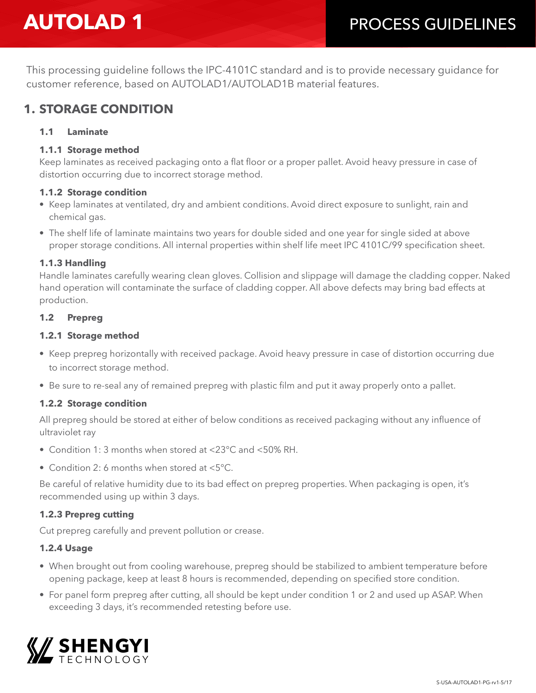# **AUTOLAD 1**

This processing guideline follows the IPC-4101C standard and is to provide necessary guidance for customer reference, based on AUTOLAD1/AUTOLAD1B material features.

### **1. STORAGE CONDITION**

#### **1.1 Laminate**

#### **1.1.1 Storage method**

 Keep laminates as received packaging onto a flat floor or a proper pallet. Avoid heavy pressure in case of distortion occurring due to incorrect storage method.

#### **1.1.2 Storage condition**

- Keep laminates at ventilated, dry and ambient conditions. Avoid direct exposure to sunlight, rain and chemical gas.
- The shelf life of laminate maintains two years for double sided and one year for single sided at above proper storage conditions. All internal properties within shelf life meet IPC 4101C/99 specification sheet.

#### **1.1.3 Handling**

Handle laminates carefully wearing clean gloves. Collision and slippage will damage the cladding copper. Naked hand operation will contaminate the surface of cladding copper. All above defects may bring bad effects at production.

#### **1.2 Prepreg**

#### **1.2.1 Storage method**

- Keep prepreg horizontally with received package. Avoid heavy pressure in case of distortion occurring due to incorrect storage method.
- Be sure to re-seal any of remained prepreg with plastic film and put it away properly onto a pallet.

#### **1.2.2 Storage condition**

 All prepreg should be stored at either of below conditions as received packaging without any influence of ultraviolet ray

- Condition 1: 3 months when stored at <23℃ and <50% RH.
- Condition 2: 6 months when stored at <5℃.

Be careful of relative humidity due to its bad effect on prepreg properties. When packaging is open, it's recommended using up within 3 days.

#### **1.2.3 Prepreg cutting**

Cut prepreg carefully and prevent pollution or crease.

#### **1.2.4 Usage**

- When brought out from cooling warehouse, prepreg should be stabilized to ambient temperature before opening package, keep at least 8 hours is recommended, depending on specified store condition.
- For panel form prepreg after cutting, all should be kept under condition 1 or 2 and used up ASAP. When exceeding 3 days, it's recommended retesting before use.

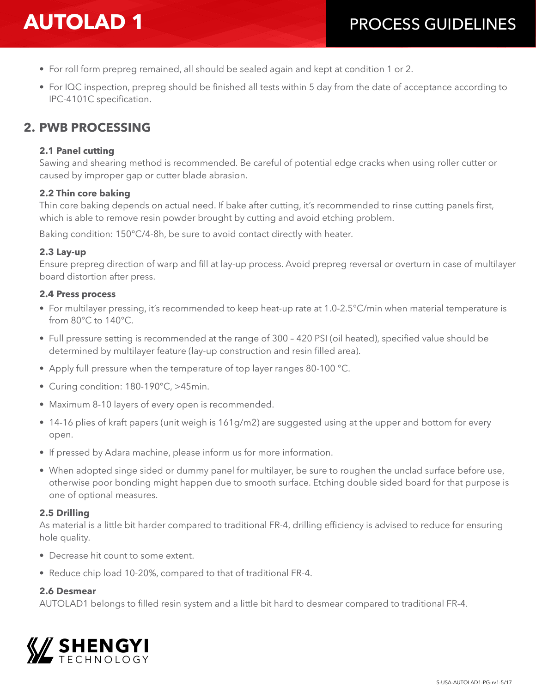# **AUTOLAD 1**

- For roll form prepreg remained, all should be sealed again and kept at condition 1 or 2.
- For IQC inspection, prepreg should be finished all tests within 5 day from the date of acceptance according to IPC-4101C specification.

### **2. PWB PROCESSING**

#### **2.1 Panel cutting**

Sawing and shearing method is recommended. Be careful of potential edge cracks when using roller cutter or caused by improper gap or cutter blade abrasion.

#### **2.2 Thin core baking**

 Thin core baking depends on actual need. If bake after cutting, it's recommended to rinse cutting panels first, which is able to remove resin powder brought by cutting and avoid etching problem.

 Baking condition: 150℃/4-8h, be sure to avoid contact directly with heater.

#### **2.3 Lay-up**

 Ensure prepreg direction of warp and fill at lay-up process. Avoid prepreg reversal or overturn in case of multilayer board distortion after press.

#### **2.4 Press process**

- For multilayer pressing, it's recommended to keep heat-up rate at 1.0-2.5℃/min when material temperature is from 80℃ to 140℃.
- Full pressure setting is recommended at the range of 300 420 PSI (oil heated), specified value should be determined by multilayer feature (lay-up construction and resin filled area).
- Apply full pressure when the temperature of top layer ranges 80-100 ℃.
- Curing condition: 180-190℃, >45min.
- Maximum 8-10 layers of every open is recommended.
- 14-16 plies of kraft papers (unit weigh is 161g/m2) are suggested using at the upper and bottom for every open.
- If pressed by Adara machine, please inform us for more information.
- When adopted singe sided or dummy panel for multilayer, be sure to roughen the unclad surface before use, otherwise poor bonding might happen due to smooth surface. Etching double sided board for that purpose is one of optional measures.

#### **2.5 Drilling**

 As material is a little bit harder compared to traditional FR-4, drilling efficiency is advised to reduce for ensuring hole quality.

- Decrease hit count to some extent.
- Reduce chip load 10-20%, compared to that of traditional FR-4.

#### **2.6 Desmear**

 AUTOLAD1 belongs to filled resin system and a little bit hard to desmear compared to traditional FR-4.